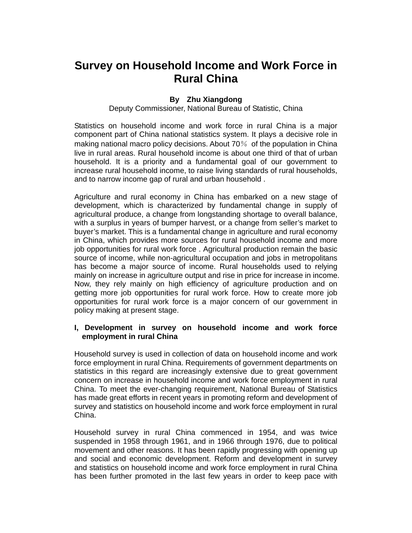# **Survey on Household Income and Work Force in Rural China**

## **By Zhu Xiangdong**

Deputy Commissioner, National Bureau of Statistic, China

Statistics on household income and work force in rural China is a major component part of China national statistics system. It plays a decisive role in making national macro policy decisions. About 70% of the population in China live in rural areas. Rural household income is about one third of that of urban household. It is a priority and a fundamental goal of our government to increase rural household income, to raise living standards of rural households, and to narrow income gap of rural and urban household .

Agriculture and rural economy in China has embarked on a new stage of development, which is characterized by fundamental change in supply of agricultural produce, a change from longstanding shortage to overall balance, with a surplus in years of bumper harvest, or a change from seller's market to buyer's market. This is a fundamental change in agriculture and rural economy in China, which provides more sources for rural household income and more job opportunities for rural work force . Agricultural production remain the basic source of income, while non-agricultural occupation and jobs in metropolitans has become a major source of income. Rural households used to relying mainly on increase in agriculture output and rise in price for increase in income. Now, they rely mainly on high efficiency of agriculture production and on getting more job opportunities for rural work force. How to create more job opportunities for rural work force is a major concern of our government in policy making at present stage.

#### **I, Development in survey on household income and work force employment in rural China**

Household survey is used in collection of data on household income and work force employment in rural China. Requirements of government departments on statistics in this regard are increasingly extensive due to great government concern on increase in household income and work force employment in rural China. To meet the ever-changing requirement, National Bureau of Statistics has made great efforts in recent years in promoting reform and development of survey and statistics on household income and work force employment in rural China.

Household survey in rural China commenced in 1954, and was twice suspended in 1958 through 1961, and in 1966 through 1976, due to political movement and other reasons. It has been rapidly progressing with opening up and social and economic development. Reform and development in survey and statistics on household income and work force employment in rural China has been further promoted in the last few years in order to keep pace with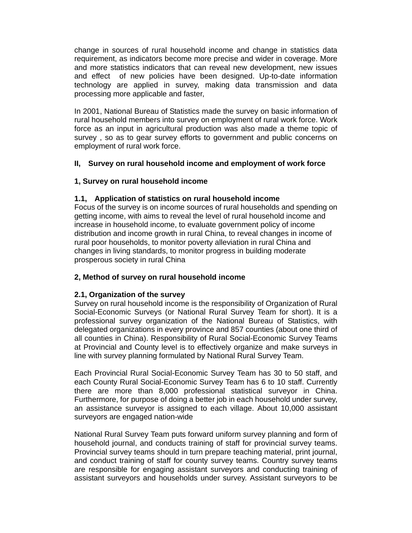change in sources of rural household income and change in statistics data requirement, as indicators become more precise and wider in coverage. More and more statistics indicators that can reveal new development, new issues and effect of new policies have been designed. Up-to-date information technology are applied in survey, making data transmission and data processing more applicable and faster,

In 2001, National Bureau of Statistics made the survey on basic information of rural household members into survey on employment of rural work force. Work force as an input in agricultural production was also made a theme topic of survey , so as to gear survey efforts to government and public concerns on employment of rural work force.

# **II, Survey on rural household income and employment of work force**

## **1, Survey on rural household income**

## **1.1, Application of statistics on rural household income**

Focus of the survey is on income sources of rural households and spending on getting income, with aims to reveal the level of rural household income and increase in household income, to evaluate government policy of income distribution and income growth in rural China, to reveal changes in income of rural poor households, to monitor poverty alleviation in rural China and changes in living standards, to monitor progress in building moderate prosperous society in rural China

#### **2, Method of survey on rural household income**

#### **2.1, Organization of the survey**

Survey on rural household income is the responsibility of Organization of Rural Social-Economic Surveys (or National Rural Survey Team for short). It is a professional survey organization of the National Bureau of Statistics, with delegated organizations in every province and 857 counties (about one third of all counties in China). Responsibility of Rural Social-Economic Survey Teams at Provincial and County level is to effectively organize and make surveys in line with survey planning formulated by National Rural Survey Team.

Each Provincial Rural Social-Economic Survey Team has 30 to 50 staff, and each County Rural Social-Economic Survey Team has 6 to 10 staff. Currently there are more than 8,000 professional statistical surveyor in China. Furthermore, for purpose of doing a better job in each household under survey, an assistance surveyor is assigned to each village. About 10,000 assistant surveyors are engaged nation-wide

National Rural Survey Team puts forward uniform survey planning and form of household journal, and conducts training of staff for provincial survey teams. Provincial survey teams should in turn prepare teaching material, print journal, and conduct training of staff for county survey teams. Country survey teams are responsible for engaging assistant surveyors and conducting training of assistant surveyors and households under survey. Assistant surveyors to be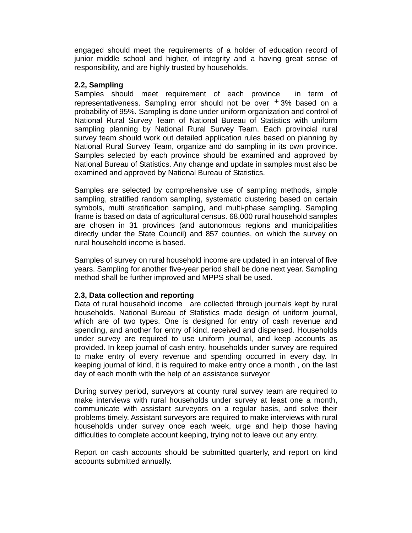engaged should meet the requirements of a holder of education record of junior middle school and higher, of integrity and a having great sense of responsibility, and are highly trusted by households.

#### **2.2, Sampling**

Samples should meet requirement of each province in term of representativeness. Sampling error should not be over  $\pm$  3% based on a probability of 95%. Sampling is done under uniform organization and control of National Rural Survey Team of National Bureau of Statistics with uniform sampling planning by National Rural Survey Team. Each provincial rural survey team should work out detailed application rules based on planning by National Rural Survey Team, organize and do sampling in its own province. Samples selected by each province should be examined and approved by National Bureau of Statistics. Any change and update in samples must also be examined and approved by National Bureau of Statistics.

Samples are selected by comprehensive use of sampling methods, simple sampling, stratified random sampling, systematic clustering based on certain symbols, multi stratification sampling, and multi-phase sampling. Sampling frame is based on data of agricultural census. 68,000 rural household samples are chosen in 31 provinces (and autonomous regions and municipalities directly under the State Council) and 857 counties, on which the survey on rural household income is based.

Samples of survey on rural household income are updated in an interval of five years. Sampling for another five-year period shall be done next year. Sampling method shall be further improved and MPPS shall be used.

#### **2.3, Data collection and reporting**

Data of rural household income are collected through journals kept by rural households. National Bureau of Statistics made design of uniform journal, which are of two types. One is designed for entry of cash revenue and spending, and another for entry of kind, received and dispensed. Households under survey are required to use uniform journal, and keep accounts as provided. In keep journal of cash entry, households under survey are required to make entry of every revenue and spending occurred in every day. In keeping journal of kind, it is required to make entry once a month , on the last day of each month with the help of an assistance surveyor

During survey period, surveyors at county rural survey team are required to make interviews with rural households under survey at least one a month, communicate with assistant surveyors on a regular basis, and solve their problems timely. Assistant surveyors are required to make interviews with rural households under survey once each week, urge and help those having difficulties to complete account keeping, trying not to leave out any entry.

Report on cash accounts should be submitted quarterly, and report on kind accounts submitted annually.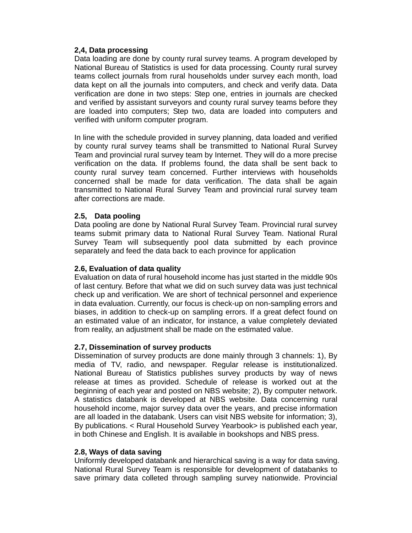## **2,4, Data processing**

Data loading are done by county rural survey teams. A program developed by National Bureau of Statistics is used for data processing. County rural survey teams collect journals from rural households under survey each month, load data kept on all the journals into computers, and check and verify data. Data verification are done in two steps: Step one, entries in journals are checked and verified by assistant surveyors and county rural survey teams before they are loaded into computers; Step two, data are loaded into computers and verified with uniform computer program.

In line with the schedule provided in survey planning, data loaded and verified by county rural survey teams shall be transmitted to National Rural Survey Team and provincial rural survey team by Internet. They will do a more precise verification on the data. If problems found, the data shall be sent back to county rural survey team concerned. Further interviews with households concerned shall be made for data verification. The data shall be again transmitted to National Rural Survey Team and provincial rural survey team after corrections are made.

#### **2.5, Data pooling**

Data pooling are done by National Rural Survey Team. Provincial rural survey teams submit primary data to National Rural Survey Team. National Rural Survey Team will subsequently pool data submitted by each province separately and feed the data back to each province for application

#### **2.6, Evaluation of data quality**

Evaluation on data of rural household income has just started in the middle 90s of last century. Before that what we did on such survey data was just technical check up and verification. We are short of technical personnel and experience in data evaluation. Currently, our focus is check-up on non-sampling errors and biases, in addition to check-up on sampling errors. If a great defect found on an estimated value of an indicator, for instance, a value completely deviated from reality, an adjustment shall be made on the estimated value.

#### **2.7, Dissemination of survey products**

Dissemination of survey products are done mainly through 3 channels: 1), By media of TV, radio, and newspaper. Regular release is institutionalized. National Bureau of Statistics publishes survey products by way of news release at times as provided. Schedule of release is worked out at the beginning of each year and posted on NBS website; 2), By computer network. A statistics databank is developed at NBS website. Data concerning rural household income, major survey data over the years, and precise information are all loaded in the databank. Users can visit NBS website for information; 3), By publications. < Rural Household Survey Yearbook> is published each year, in both Chinese and English. It is available in bookshops and NBS press.

#### **2.8, Ways of data saving**

Uniformly developed databank and hierarchical saving is a way for data saving. National Rural Survey Team is responsible for development of databanks to save primary data colleted through sampling survey nationwide. Provincial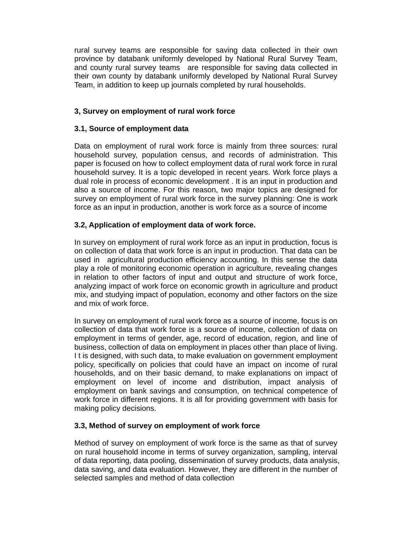rural survey teams are responsible for saving data collected in their own province by databank uniformly developed by National Rural Survey Team, and county rural survey teams are responsible for saving data collected in their own county by databank uniformly developed by National Rural Survey Team, in addition to keep up journals completed by rural households.

## **3, Survey on employment of rural work force**

## **3.1, Source of employment data**

Data on employment of rural work force is mainly from three sources: rural household survey, population census, and records of administration. This paper is focused on how to collect employment data of rural work force in rural household survey. It is a topic developed in recent years. Work force plays a dual role in process of economic development . It is an input in production and also a source of income. For this reason, two major topics are designed for survey on employment of rural work force in the survey planning: One is work force as an input in production, another is work force as a source of income

## **3.2, Application of employment data of work force.**

In survey on employment of rural work force as an input in production, focus is on collection of data that work force is an input in production. That data can be used in agricultural production efficiency accounting. In this sense the data play a role of monitoring economic operation in agriculture, revealing changes in relation to other factors of input and output and structure of work force, analyzing impact of work force on economic growth in agriculture and product mix, and studying impact of population, economy and other factors on the size and mix of work force.

In survey on employment of rural work force as a source of income, focus is on collection of data that work force is a source of income, collection of data on employment in terms of gender, age, record of education, region, and line of business, collection of data on employment in places other than place of living. I t is designed, with such data, to make evaluation on government employment policy, specifically on policies that could have an impact on income of rural households, and on their basic demand, to make explanations on impact of employment on level of income and distribution, impact analysis of employment on bank savings and consumption, on technical competence of work force in different regions. It is all for providing government with basis for making policy decisions.

#### **3.3, Method of survey on employment of work force**

Method of survey on employment of work force is the same as that of survey on rural household income in terms of survey organization, sampling, interval of data reporting, data pooling, dissemination of survey products, data analysis, data saving, and data evaluation. However, they are different in the number of selected samples and method of data collection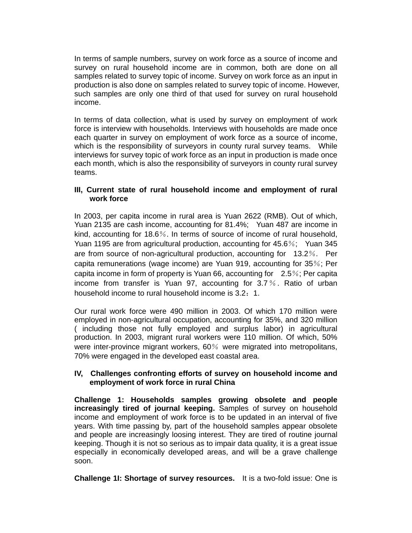In terms of sample numbers, survey on work force as a source of income and survey on rural household income are in common, both are done on all samples related to survey topic of income. Survey on work force as an input in production is also done on samples related to survey topic of income. However, such samples are only one third of that used for survey on rural household income.

In terms of data collection, what is used by survey on employment of work force is interview with households. Interviews with households are made once each quarter in survey on employment of work force as a source of income, which is the responsibility of surveyors in county rural survey teams. While interviews for survey topic of work force as an input in production is made once each month, which is also the responsibility of surveyors in county rural survey teams.

## **III, Current state of rural household income and employment of rural work force**

In 2003, per capita income in rural area is Yuan 2622 (RMB). Out of which, Yuan 2135 are cash income, accounting for 81.4%; Yuan 487 are income in kind, accounting for 18.6%. In terms of source of income of rural household, Yuan 1195 are from agricultural production, accounting for 45.6%; Yuan 345 are from source of non-agricultural production, accounting for 13.2%. Per capita remunerations (wage income) are Yuan 919, accounting for 35%; Per capita income in form of property is Yuan 66, accounting for 2.5%; Per capita income from transfer is Yuan 97, accounting for 3.7%. Ratio of urban household income to rural household income is 3.2: 1.

Our rural work force were 490 million in 2003. Of which 170 million were employed in non-agricultural occupation, accounting for 35%, and 320 million ( including those not fully employed and surplus labor) in agricultural production. In 2003, migrant rural workers were 110 million. Of which, 50% were inter-province migrant workers, 60% were migrated into metropolitans, 70% were engaged in the developed east coastal area.

## **IV, Challenges confronting efforts of survey on household income and employment of work force in rural China**

**Challenge 1: Households samples growing obsolete and people increasingly tired of journal keeping.** Samples of survey on household income and employment of work force is to be updated in an interval of five years. With time passing by, part of the household samples appear obsolete and people are increasingly loosing interest. They are tired of routine journal keeping. Though it is not so serious as to impair data quality, it is a great issue especially in economically developed areas, and will be a grave challenge soon.

**Challenge 1I: Shortage of survey resources.** It is a two-fold issue: One is